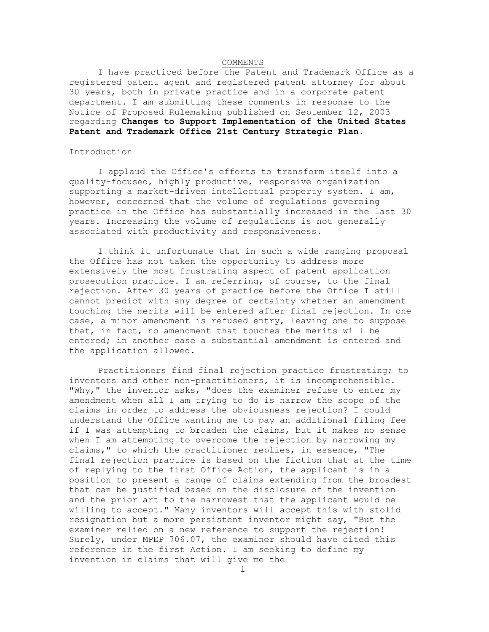### COMMENTS

I have practiced before the Patent and Trademark Office as a registered patent agent and registered patent attorney for about 30 years, both in private practice and in a corporate patent department. I am submitting these comments in response to the Notice of Proposed Rulemaking published on September 12, 2003 regarding **Changes to Support Implementation of the United States Patent and Trademark Office 21st Century Strategic Plan**.

## Introduction

I applaud the Office's efforts to transform itself into a quality-focused, highly productive, responsive organization supporting a market-driven intellectual property system. I am, however, concerned that the volume of regulations governing practice in the Office has substantially increased in the last 30 years. Increasing the volume of regulations is not generally associated with productivity and responsiveness.

I think it unfortunate that in such a wide ranging proposal the Office has not taken the opportunity to address more extensively the most frustrating aspect of patent application prosecution practice. I am referring, of course, to the final rejection. After 30 years of practice before the Office I still cannot predict with any degree of certainty whether an amendment touching the merits will be entered after final rejection. In one case, a minor amendment is refused entry, leaving one to suppose that, in fact, no amendment that touches the merits will be entered; in another case a substantial amendment is entered and the application allowed.

Practitioners find final rejection practice frustrating; to inventors and other non-practitioners, it is incomprehensible. "Why," the inventor asks, "does the examiner refuse to enter my amendment when all I am trying to do is narrow the scope of the claims in order to address the obviousness rejection? I could understand the Office wanting me to pay an additional filing fee if I was attempting to broaden the claims, but it makes no sense when I am attempting to overcome the rejection by narrowing my claims," to which the practitioner replies, in essence, "The final rejection practice is based on the fiction that at the time of replying to the first Office Action, the applicant is in a position to present a range of claims extending from the broadest that can be justified based on the disclosure of the invention and the prior art to the narrowest that the applicant would be willing to accept." Many inventors will accept this with stolid resignation but a more persistent inventor might say, "But the examiner relied on a new reference to support the rejection! Surely, under MPEP 706.07, the examiner should have cited this reference in the first Action. I am seeking to define my invention in claims that will give me the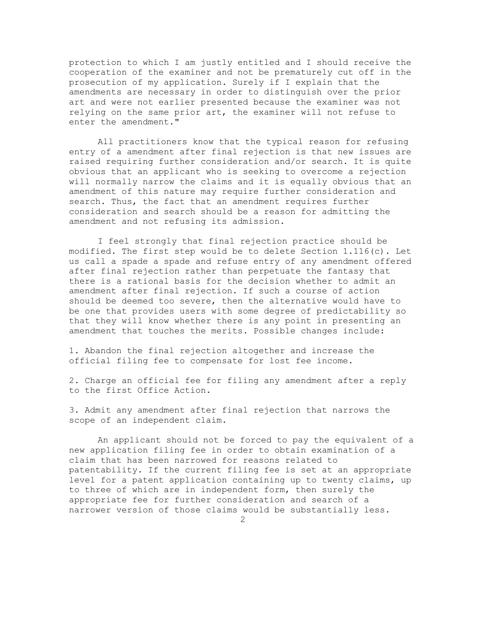protection to which I am justly entitled and I should receive the cooperation of the examiner and not be prematurely cut off in the prosecution of my application. Surely if I explain that the amendments are necessary in order to distinguish over the prior art and were not earlier presented because the examiner was not relying on the same prior art, the examiner will not refuse to enter the amendment."

All practitioners know that the typical reason for refusing entry of a amendment after final rejection is that new issues are raised requiring further consideration and/or search. It is quite obvious that an applicant who is seeking to overcome a rejection will normally narrow the claims and it is equally obvious that an amendment of this nature may require further consideration and search. Thus, the fact that an amendment requires further consideration and search should be a reason for admitting the amendment and not refusing its admission.

I feel strongly that final rejection practice should be modified. The first step would be to delete Section 1.116(c). Let us call a spade a spade and refuse entry of any amendment offered after final rejection rather than perpetuate the fantasy that there is a rational basis for the decision whether to admit an amendment after final rejection. If such a course of action should be deemed too severe, then the alternative would have to be one that provides users with some degree of predictability so that they will know whether there is any point in presenting an amendment that touches the merits. Possible changes include:

1. Abandon the final rejection altogether and increase the official filing fee to compensate for lost fee income.

2. Charge an official fee for filing any amendment after a reply to the first Office Action.

3. Admit any amendment after final rejection that narrows the scope of an independent claim.

An applicant should not be forced to pay the equivalent of a new application filing fee in order to obtain examination of a claim that has been narrowed for reasons related to patentability. If the current filing fee is set at an appropriate level for a patent application containing up to twenty claims, up to three of which are in independent form, then surely the appropriate fee for further consideration and search of a narrower version of those claims would be substantially less.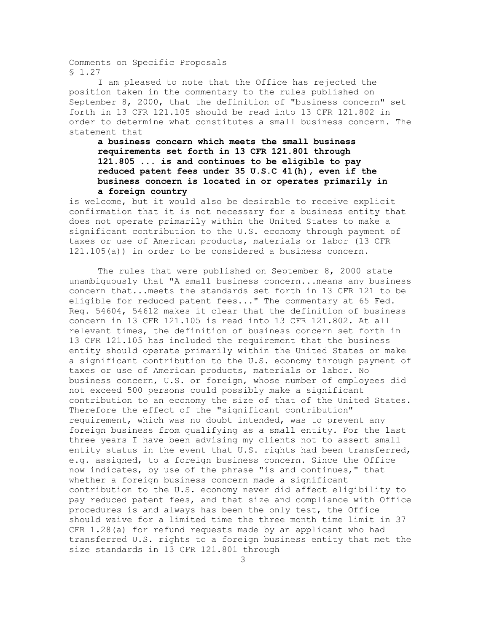Comments on Specific Proposals § 1.27

I am pleased to note that the Office has rejected the position taken in the commentary to the rules published on September 8, 2000, that the definition of "business concern" set forth in 13 CFR 121.105 should be read into 13 CFR 121.802 in order to determine what constitutes a small business concern. The statement that

# **a business concern which meets the small business requirements set forth in 13 CFR 121.801 through 121.805 ... is and continues to be eligible to pay reduced patent fees under 35 U.S.C 41(h), even if the business concern is located in or operates primarily in a foreign country**

is welcome, but it would also be desirable to receive explicit confirmation that it is not necessary for a business entity that does not operate primarily within the United States to make a significant contribution to the U.S. economy through payment of taxes or use of American products, materials or labor (13 CFR 121.105(a)) in order to be considered a business concern.

The rules that were published on September 8, 2000 state unambiguously that "A small business concern...means any business concern that...meets the standards set forth in 13 CFR 121 to be eligible for reduced patent fees..." The commentary at 65 Fed. Reg. 54604, 54612 makes it clear that the definition of business concern in 13 CFR 121.105 is read into 13 CFR 121.802. At all relevant times, the definition of business concern set forth in 13 CFR 121.105 has included the requirement that the business entity should operate primarily within the United States or make a significant contribution to the U.S. economy through payment of taxes or use of American products, materials or labor. No business concern, U.S. or foreign, whose number of employees did not exceed 500 persons could possibly make a significant contribution to an economy the size of that of the United States. Therefore the effect of the "significant contribution" requirement, which was no doubt intended, was to prevent any foreign business from qualifying as a small entity. For the last three years I have been advising my clients not to assert small entity status in the event that U.S. rights had been transferred, e.g. assigned, to a foreign business concern. Since the Office now indicates, by use of the phrase "is and continues," that whether a foreign business concern made a significant contribution to the U.S. economy never did affect eligibility to pay reduced patent fees, and that size and compliance with Office procedures is and always has been the only test, the Office should waive for a limited time the three month time limit in 37 CFR 1.28(a) for refund requests made by an applicant who had transferred U.S. rights to a foreign business entity that met the size standards in 13 CFR 121.801 through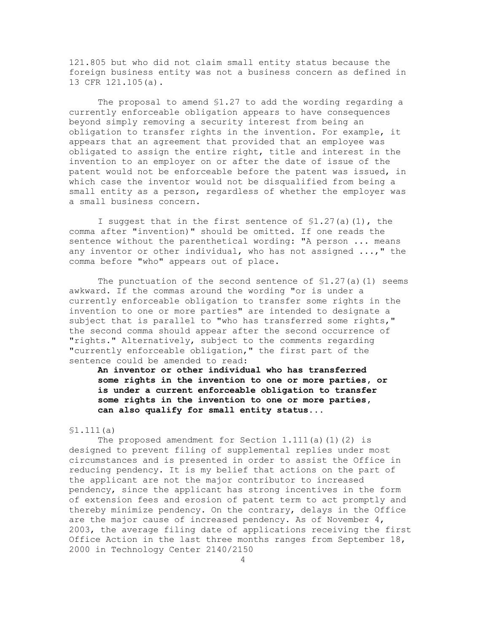121.805 but who did not claim small entity status because the foreign business entity was not a business concern as defined in 13 CFR 121.105(a).

The proposal to amend §1.27 to add the wording regarding a currently enforceable obligation appears to have consequences beyond simply removing a security interest from being an obligation to transfer rights in the invention. For example, it appears that an agreement that provided that an employee was obligated to assign the entire right, title and interest in the invention to an employer on or after the date of issue of the patent would not be enforceable before the patent was issued, in which case the inventor would not be disqualified from being a small entity as a person, regardless of whether the employer was a small business concern.

I suggest that in the first sentence of §1.27(a)(1), the comma after "invention)" should be omitted. If one reads the sentence without the parenthetical wording: "A person ... means any inventor or other individual, who has not assigned ...," the comma before "who" appears out of place.

The punctuation of the second sentence of  $$1.27(a)(1)$  seems awkward. If the commas around the wording "or is under a currently enforceable obligation to transfer some rights in the invention to one or more parties" are intended to designate a subject that is parallel to "who has transferred some rights," the second comma should appear after the second occurrence of "rights." Alternatively, subject to the comments regarding "currently enforceable obligation," the first part of the sentence could be amended to read:

**An inventor or other individual who has transferred some rights in the invention to one or more parties, or is under a current enforceable obligation to transfer some rights in the invention to one or more parties, can also qualify for small entity status...** 

## §1.111(a)

The proposed amendment for Section  $1.111(a)(1)(2)$  is designed to prevent filing of supplemental replies under most circumstances and is presented in order to assist the Office in reducing pendency. It is my belief that actions on the part of the applicant are not the major contributor to increased pendency, since the applicant has strong incentives in the form of extension fees and erosion of patent term to act promptly and thereby minimize pendency. On the contrary, delays in the Office are the major cause of increased pendency. As of November 4, 2003, the average filing date of applications receiving the first Office Action in the last three months ranges from September 18, 2000 in Technology Center 2140/2150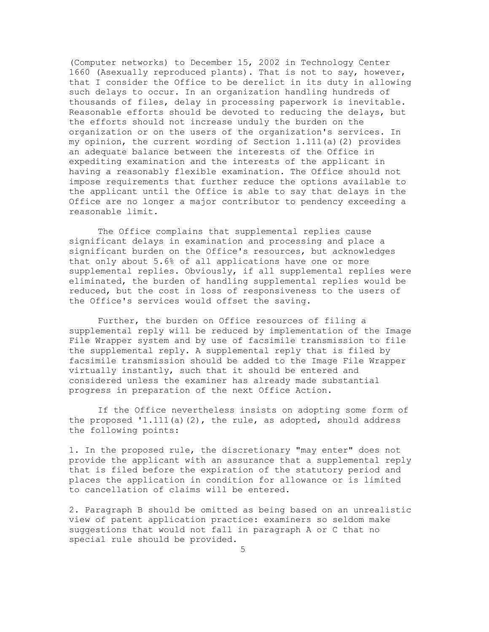(Computer networks) to December 15, 2002 in Technology Center 1660 (Asexually reproduced plants). That is not to say, however, that I consider the Office to be derelict in its duty in allowing such delays to occur. In an organization handling hundreds of thousands of files, delay in processing paperwork is inevitable. Reasonable efforts should be devoted to reducing the delays, but the efforts should not increase unduly the burden on the organization or on the users of the organization's services. In my opinion, the current wording of Section 1.111(a)(2) provides an adequate balance between the interests of the Office in expediting examination and the interests of the applicant in having a reasonably flexible examination. The Office should not impose requirements that further reduce the options available to the applicant until the Office is able to say that delays in the Office are no longer a major contributor to pendency exceeding a reasonable limit.

The Office complains that supplemental replies cause significant delays in examination and processing and place a significant burden on the Office's resources, but acknowledges that only about 5.6% of all applications have one or more supplemental replies. Obviously, if all supplemental replies were eliminated, the burden of handling supplemental replies would be reduced, but the cost in loss of responsiveness to the users of the Office's services would offset the saving.

Further, the burden on Office resources of filing a supplemental reply will be reduced by implementation of the Image File Wrapper system and by use of facsimile transmission to file the supplemental reply. A supplemental reply that is filed by facsimile transmission should be added to the Image File Wrapper virtually instantly, such that it should be entered and considered unless the examiner has already made substantial progress in preparation of the next Office Action.

If the Office nevertheless insists on adopting some form of the proposed  $1.111(a)(2)$ , the rule, as adopted, should address the following points:

1. In the proposed rule, the discretionary "may enter" does not provide the applicant with an assurance that a supplemental reply that is filed before the expiration of the statutory period and places the application in condition for allowance or is limited to cancellation of claims will be entered.

2. Paragraph B should be omitted as being based on an unrealistic view of patent application practice: examiners so seldom make suggestions that would not fall in paragraph A or C that no special rule should be provided.